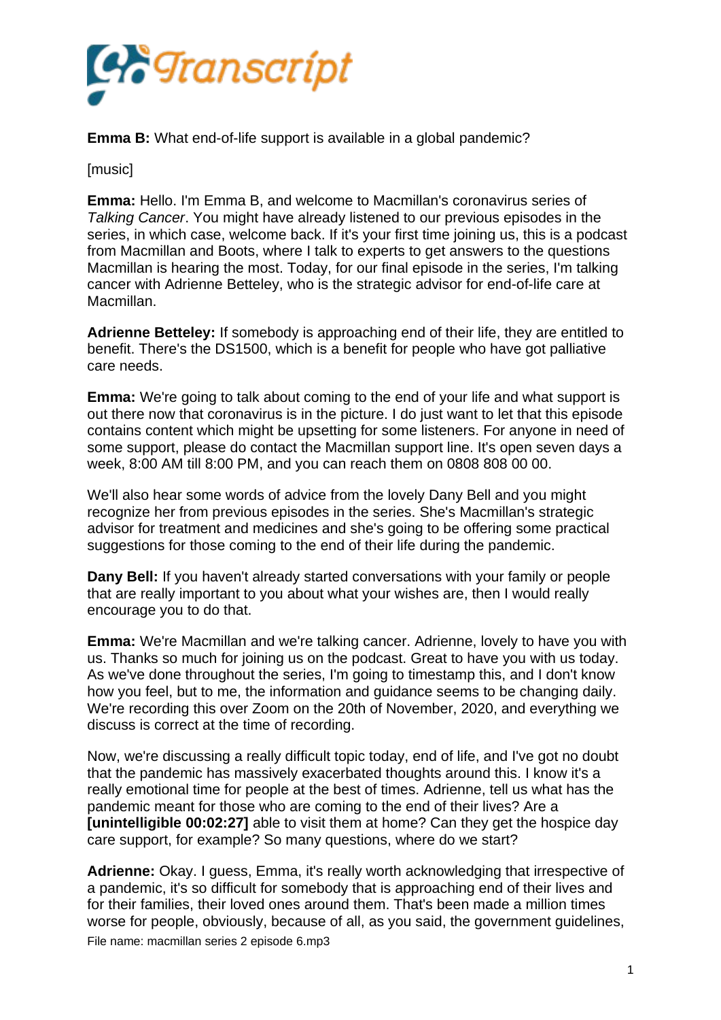

**Emma B:** What end-of-life support is available in a global pandemic?

[music]

**Emma:** Hello. I'm Emma B, and welcome to Macmillan's coronavirus series of *Talking Cancer*. You might have already listened to our previous episodes in the series, in which case, welcome back. If it's your first time joining us, this is a podcast from Macmillan and Boots, where I talk to experts to get answers to the questions Macmillan is hearing the most. Today, for our final episode in the series, I'm talking cancer with Adrienne Betteley, who is the strategic advisor for end-of-life care at Macmillan.

**Adrienne Betteley:** If somebody is approaching end of their life, they are entitled to benefit. There's the DS1500, which is a benefit for people who have got palliative care needs.

**Emma:** We're going to talk about coming to the end of your life and what support is out there now that coronavirus is in the picture. I do just want to let that this episode contains content which might be upsetting for some listeners. For anyone in need of some support, please do contact the Macmillan support line. It's open seven days a week, 8:00 AM till 8:00 PM, and you can reach them on 0808 808 00 00.

We'll also hear some words of advice from the lovely Dany Bell and you might recognize her from previous episodes in the series. She's Macmillan's strategic advisor for treatment and medicines and she's going to be offering some practical suggestions for those coming to the end of their life during the pandemic.

**Dany Bell:** If you haven't already started conversations with your family or people that are really important to you about what your wishes are, then I would really encourage you to do that.

**Emma:** We're Macmillan and we're talking cancer. Adrienne, lovely to have you with us. Thanks so much for joining us on the podcast. Great to have you with us today. As we've done throughout the series, I'm going to timestamp this, and I don't know how you feel, but to me, the information and guidance seems to be changing daily. We're recording this over Zoom on the 20th of November, 2020, and everything we discuss is correct at the time of recording.

Now, we're discussing a really difficult topic today, end of life, and I've got no doubt that the pandemic has massively exacerbated thoughts around this. I know it's a really emotional time for people at the best of times. Adrienne, tell us what has the pandemic meant for those who are coming to the end of their lives? Are a **[unintelligible 00:02:27]** able to visit them at home? Can they get the hospice day care support, for example? So many questions, where do we start?

**Adrienne:** Okay. I guess, Emma, it's really worth acknowledging that irrespective of a pandemic, it's so difficult for somebody that is approaching end of their lives and for their families, their loved ones around them. That's been made a million times worse for people, obviously, because of all, as you said, the government guidelines, File name: macmillan series 2 episode 6.mp3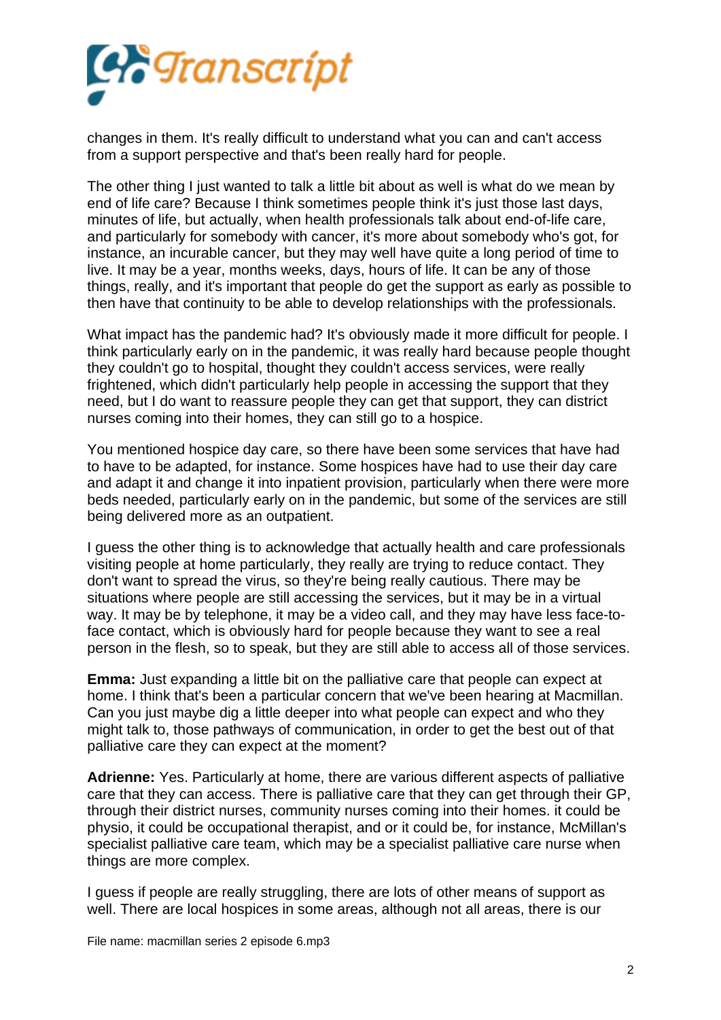

changes in them. It's really difficult to understand what you can and can't access from a support perspective and that's been really hard for people.

The other thing I just wanted to talk a little bit about as well is what do we mean by end of life care? Because I think sometimes people think it's just those last days, minutes of life, but actually, when health professionals talk about end-of-life care, and particularly for somebody with cancer, it's more about somebody who's got, for instance, an incurable cancer, but they may well have quite a long period of time to live. It may be a year, months weeks, days, hours of life. It can be any of those things, really, and it's important that people do get the support as early as possible to then have that continuity to be able to develop relationships with the professionals.

What impact has the pandemic had? It's obviously made it more difficult for people. I think particularly early on in the pandemic, it was really hard because people thought they couldn't go to hospital, thought they couldn't access services, were really frightened, which didn't particularly help people in accessing the support that they need, but I do want to reassure people they can get that support, they can district nurses coming into their homes, they can still go to a hospice.

You mentioned hospice day care, so there have been some services that have had to have to be adapted, for instance. Some hospices have had to use their day care and adapt it and change it into inpatient provision, particularly when there were more beds needed, particularly early on in the pandemic, but some of the services are still being delivered more as an outpatient.

I guess the other thing is to acknowledge that actually health and care professionals visiting people at home particularly, they really are trying to reduce contact. They don't want to spread the virus, so they're being really cautious. There may be situations where people are still accessing the services, but it may be in a virtual way. It may be by telephone, it may be a video call, and they may have less face-toface contact, which is obviously hard for people because they want to see a real person in the flesh, so to speak, but they are still able to access all of those services.

**Emma:** Just expanding a little bit on the palliative care that people can expect at home. I think that's been a particular concern that we've been hearing at Macmillan. Can you just maybe dig a little deeper into what people can expect and who they might talk to, those pathways of communication, in order to get the best out of that palliative care they can expect at the moment?

**Adrienne:** Yes. Particularly at home, there are various different aspects of palliative care that they can access. There is palliative care that they can get through their GP, through their district nurses, community nurses coming into their homes. it could be physio, it could be occupational therapist, and or it could be, for instance, McMillan's specialist palliative care team, which may be a specialist palliative care nurse when things are more complex.

I guess if people are really struggling, there are lots of other means of support as well. There are local hospices in some areas, although not all areas, there is our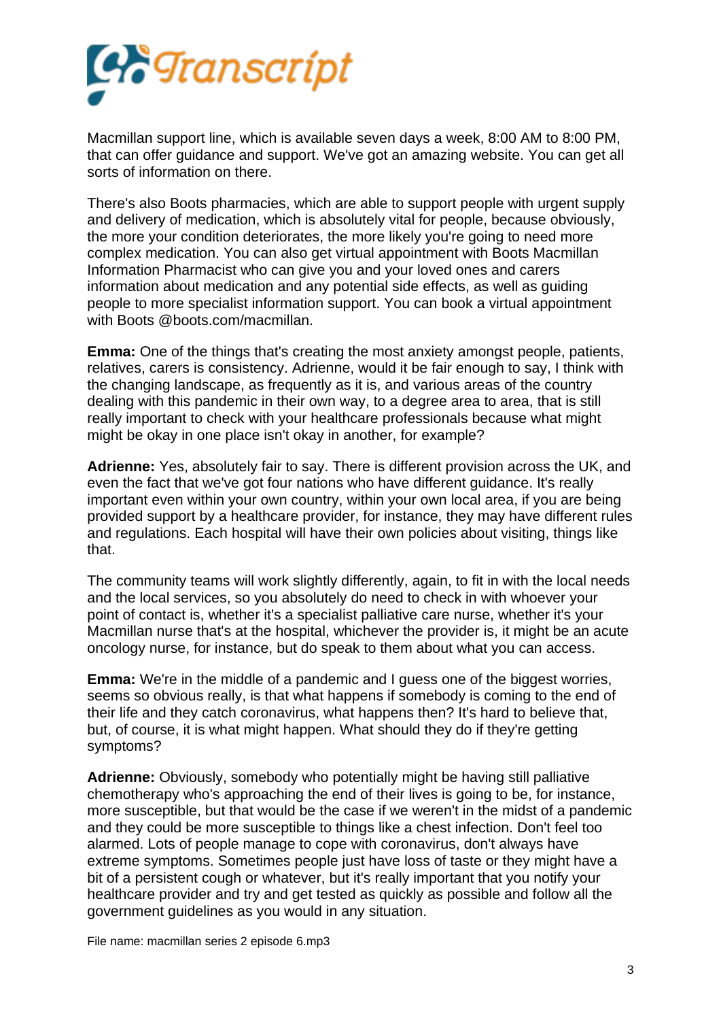

Macmillan support line, which is available seven days a week, 8:00 AM to 8:00 PM, that can offer guidance and support. We've got an amazing website. You can get all sorts of information on there.

There's also Boots pharmacies, which are able to support people with urgent supply and delivery of medication, which is absolutely vital for people, because obviously, the more your condition deteriorates, the more likely you're going to need more complex medication. You can also get virtual appointment with Boots Macmillan Information Pharmacist who can give you and your loved ones and carers information about medication and any potential side effects, as well as guiding people to more specialist information support. You can book a virtual appointment with Boots @boots.com/macmillan.

**Emma:** One of the things that's creating the most anxiety amongst people, patients, relatives, carers is consistency. Adrienne, would it be fair enough to say, I think with the changing landscape, as frequently as it is, and various areas of the country dealing with this pandemic in their own way, to a degree area to area, that is still really important to check with your healthcare professionals because what might might be okay in one place isn't okay in another, for example?

**Adrienne:** Yes, absolutely fair to say. There is different provision across the UK, and even the fact that we've got four nations who have different guidance. It's really important even within your own country, within your own local area, if you are being provided support by a healthcare provider, for instance, they may have different rules and regulations. Each hospital will have their own policies about visiting, things like that.

The community teams will work slightly differently, again, to fit in with the local needs and the local services, so you absolutely do need to check in with whoever your point of contact is, whether it's a specialist palliative care nurse, whether it's your Macmillan nurse that's at the hospital, whichever the provider is, it might be an acute oncology nurse, for instance, but do speak to them about what you can access.

**Emma:** We're in the middle of a pandemic and I guess one of the biggest worries, seems so obvious really, is that what happens if somebody is coming to the end of their life and they catch coronavirus, what happens then? It's hard to believe that, but, of course, it is what might happen. What should they do if they're getting symptoms?

**Adrienne:** Obviously, somebody who potentially might be having still palliative chemotherapy who's approaching the end of their lives is going to be, for instance, more susceptible, but that would be the case if we weren't in the midst of a pandemic and they could be more susceptible to things like a chest infection. Don't feel too alarmed. Lots of people manage to cope with coronavirus, don't always have extreme symptoms. Sometimes people just have loss of taste or they might have a bit of a persistent cough or whatever, but it's really important that you notify your healthcare provider and try and get tested as quickly as possible and follow all the government guidelines as you would in any situation.

File name: macmillan series 2 episode 6.mp3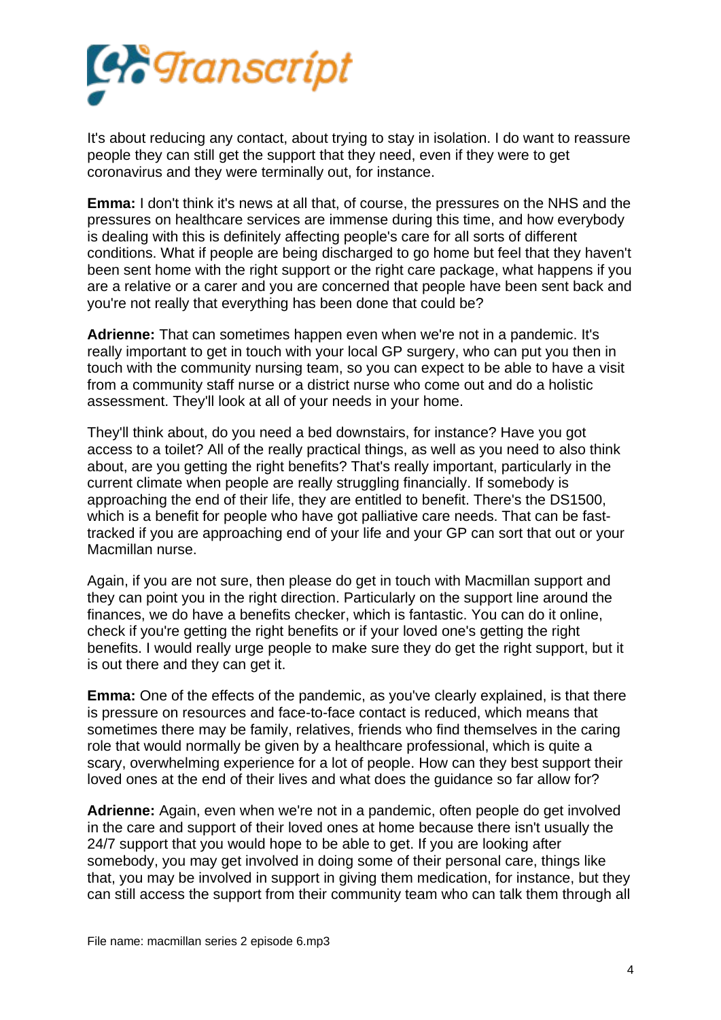

It's about reducing any contact, about trying to stay in isolation. I do want to reassure people they can still get the support that they need, even if they were to get coronavirus and they were terminally out, for instance.

**Emma:** I don't think it's news at all that, of course, the pressures on the NHS and the pressures on healthcare services are immense during this time, and how everybody is dealing with this is definitely affecting people's care for all sorts of different conditions. What if people are being discharged to go home but feel that they haven't been sent home with the right support or the right care package, what happens if you are a relative or a carer and you are concerned that people have been sent back and you're not really that everything has been done that could be?

**Adrienne:** That can sometimes happen even when we're not in a pandemic. It's really important to get in touch with your local GP surgery, who can put you then in touch with the community nursing team, so you can expect to be able to have a visit from a community staff nurse or a district nurse who come out and do a holistic assessment. They'll look at all of your needs in your home.

They'll think about, do you need a bed downstairs, for instance? Have you got access to a toilet? All of the really practical things, as well as you need to also think about, are you getting the right benefits? That's really important, particularly in the current climate when people are really struggling financially. If somebody is approaching the end of their life, they are entitled to benefit. There's the DS1500, which is a benefit for people who have got palliative care needs. That can be fasttracked if you are approaching end of your life and your GP can sort that out or your Macmillan nurse.

Again, if you are not sure, then please do get in touch with Macmillan support and they can point you in the right direction. Particularly on the support line around the finances, we do have a benefits checker, which is fantastic. You can do it online, check if you're getting the right benefits or if your loved one's getting the right benefits. I would really urge people to make sure they do get the right support, but it is out there and they can get it.

**Emma:** One of the effects of the pandemic, as you've clearly explained, is that there is pressure on resources and face-to-face contact is reduced, which means that sometimes there may be family, relatives, friends who find themselves in the caring role that would normally be given by a healthcare professional, which is quite a scary, overwhelming experience for a lot of people. How can they best support their loved ones at the end of their lives and what does the guidance so far allow for?

**Adrienne:** Again, even when we're not in a pandemic, often people do get involved in the care and support of their loved ones at home because there isn't usually the 24/7 support that you would hope to be able to get. If you are looking after somebody, you may get involved in doing some of their personal care, things like that, you may be involved in support in giving them medication, for instance, but they can still access the support from their community team who can talk them through all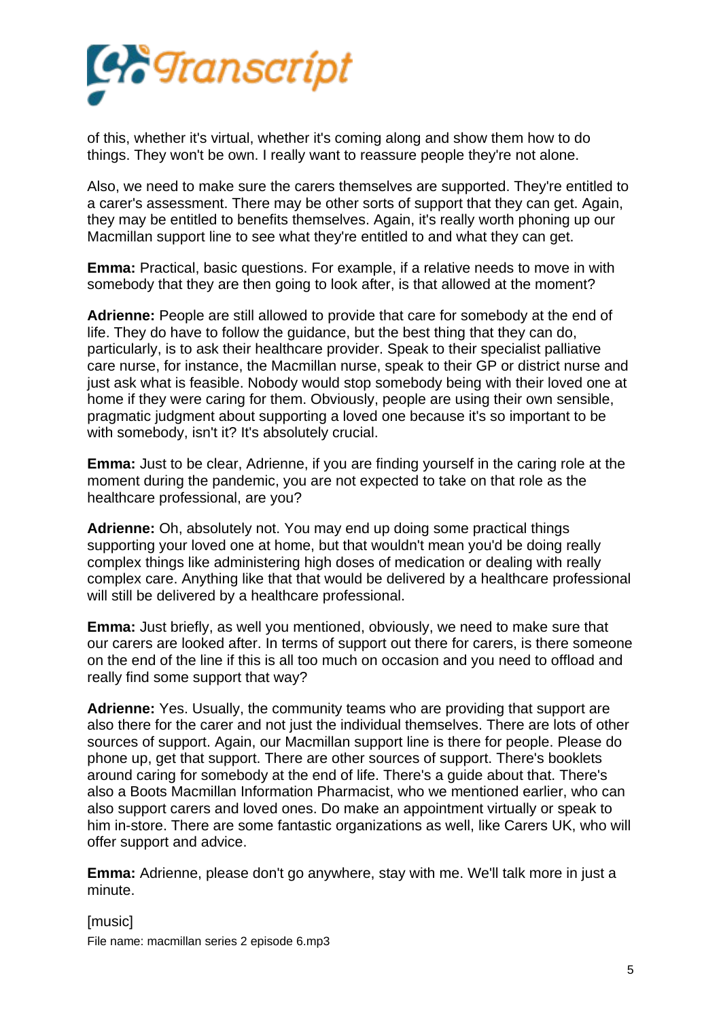

of this, whether it's virtual, whether it's coming along and show them how to do things. They won't be own. I really want to reassure people they're not alone.

Also, we need to make sure the carers themselves are supported. They're entitled to a carer's assessment. There may be other sorts of support that they can get. Again, they may be entitled to benefits themselves. Again, it's really worth phoning up our Macmillan support line to see what they're entitled to and what they can get.

**Emma:** Practical, basic questions. For example, if a relative needs to move in with somebody that they are then going to look after, is that allowed at the moment?

**Adrienne:** People are still allowed to provide that care for somebody at the end of life. They do have to follow the guidance, but the best thing that they can do, particularly, is to ask their healthcare provider. Speak to their specialist palliative care nurse, for instance, the Macmillan nurse, speak to their GP or district nurse and just ask what is feasible. Nobody would stop somebody being with their loved one at home if they were caring for them. Obviously, people are using their own sensible, pragmatic judgment about supporting a loved one because it's so important to be with somebody, isn't it? It's absolutely crucial.

**Emma:** Just to be clear, Adrienne, if you are finding yourself in the caring role at the moment during the pandemic, you are not expected to take on that role as the healthcare professional, are you?

**Adrienne:** Oh, absolutely not. You may end up doing some practical things supporting your loved one at home, but that wouldn't mean you'd be doing really complex things like administering high doses of medication or dealing with really complex care. Anything like that that would be delivered by a healthcare professional will still be delivered by a healthcare professional.

**Emma:** Just briefly, as well you mentioned, obviously, we need to make sure that our carers are looked after. In terms of support out there for carers, is there someone on the end of the line if this is all too much on occasion and you need to offload and really find some support that way?

**Adrienne:** Yes. Usually, the community teams who are providing that support are also there for the carer and not just the individual themselves. There are lots of other sources of support. Again, our Macmillan support line is there for people. Please do phone up, get that support. There are other sources of support. There's booklets around caring for somebody at the end of life. There's a guide about that. There's also a Boots Macmillan Information Pharmacist, who we mentioned earlier, who can also support carers and loved ones. Do make an appointment virtually or speak to him in-store. There are some fantastic organizations as well, like Carers UK, who will offer support and advice.

**Emma:** Adrienne, please don't go anywhere, stay with me. We'll talk more in just a minute.

[music] File name: macmillan series 2 episode 6.mp3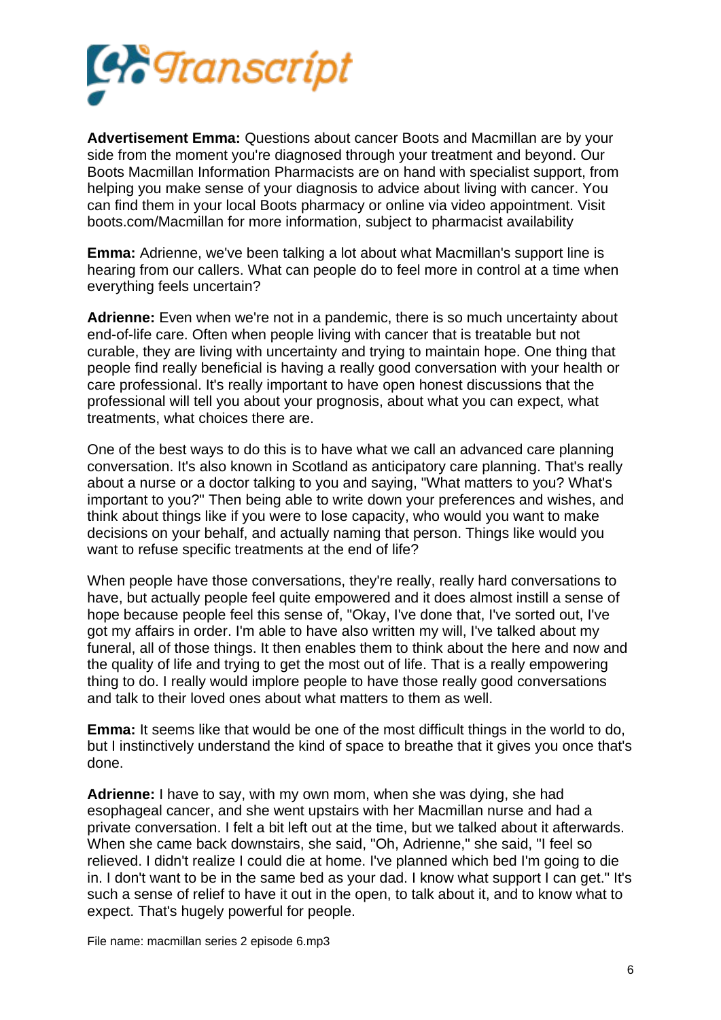

**Advertisement Emma:** Questions about cancer Boots and Macmillan are by your side from the moment you're diagnosed through your treatment and beyond. Our Boots Macmillan Information Pharmacists are on hand with specialist support, from helping you make sense of your diagnosis to advice about living with cancer. You can find them in your local Boots pharmacy or online via video appointment. Visit boots.com/Macmillan for more information, subject to pharmacist availability

**Emma:** Adrienne, we've been talking a lot about what Macmillan's support line is hearing from our callers. What can people do to feel more in control at a time when everything feels uncertain?

**Adrienne:** Even when we're not in a pandemic, there is so much uncertainty about end-of-life care. Often when people living with cancer that is treatable but not curable, they are living with uncertainty and trying to maintain hope. One thing that people find really beneficial is having a really good conversation with your health or care professional. It's really important to have open honest discussions that the professional will tell you about your prognosis, about what you can expect, what treatments, what choices there are.

One of the best ways to do this is to have what we call an advanced care planning conversation. It's also known in Scotland as anticipatory care planning. That's really about a nurse or a doctor talking to you and saying, "What matters to you? What's important to you?" Then being able to write down your preferences and wishes, and think about things like if you were to lose capacity, who would you want to make decisions on your behalf, and actually naming that person. Things like would you want to refuse specific treatments at the end of life?

When people have those conversations, they're really, really hard conversations to have, but actually people feel quite empowered and it does almost instill a sense of hope because people feel this sense of, "Okay, I've done that, I've sorted out, I've got my affairs in order. I'm able to have also written my will, I've talked about my funeral, all of those things. It then enables them to think about the here and now and the quality of life and trying to get the most out of life. That is a really empowering thing to do. I really would implore people to have those really good conversations and talk to their loved ones about what matters to them as well.

**Emma:** It seems like that would be one of the most difficult things in the world to do, but I instinctively understand the kind of space to breathe that it gives you once that's done.

**Adrienne:** I have to say, with my own mom, when she was dying, she had esophageal cancer, and she went upstairs with her Macmillan nurse and had a private conversation. I felt a bit left out at the time, but we talked about it afterwards. When she came back downstairs, she said, "Oh, Adrienne," she said, "I feel so relieved. I didn't realize I could die at home. I've planned which bed I'm going to die in. I don't want to be in the same bed as your dad. I know what support I can get." It's such a sense of relief to have it out in the open, to talk about it, and to know what to expect. That's hugely powerful for people.

File name: macmillan series 2 episode 6.mp3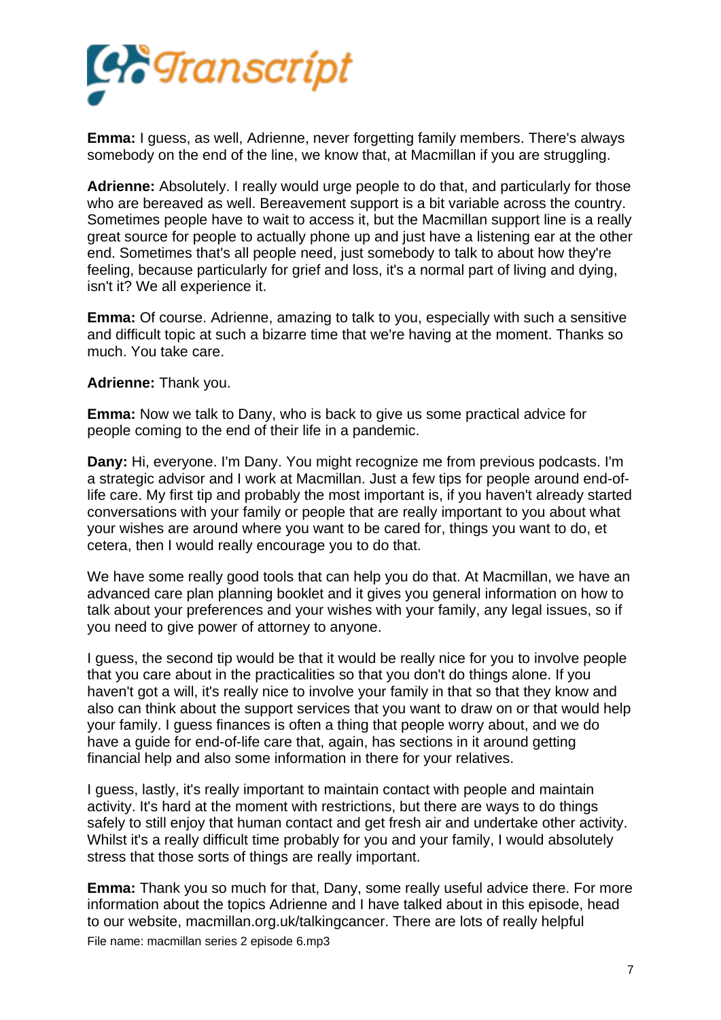

**Emma:** I guess, as well, Adrienne, never forgetting family members. There's always somebody on the end of the line, we know that, at Macmillan if you are struggling.

**Adrienne:** Absolutely. I really would urge people to do that, and particularly for those who are bereaved as well. Bereavement support is a bit variable across the country. Sometimes people have to wait to access it, but the Macmillan support line is a really great source for people to actually phone up and just have a listening ear at the other end. Sometimes that's all people need, just somebody to talk to about how they're feeling, because particularly for grief and loss, it's a normal part of living and dying, isn't it? We all experience it.

**Emma:** Of course. Adrienne, amazing to talk to you, especially with such a sensitive and difficult topic at such a bizarre time that we're having at the moment. Thanks so much. You take care.

**Adrienne:** Thank you.

**Emma:** Now we talk to Dany, who is back to give us some practical advice for people coming to the end of their life in a pandemic.

**Dany:** Hi, everyone. I'm Dany. You might recognize me from previous podcasts. I'm a strategic advisor and I work at Macmillan. Just a few tips for people around end-oflife care. My first tip and probably the most important is, if you haven't already started conversations with your family or people that are really important to you about what your wishes are around where you want to be cared for, things you want to do, et cetera, then I would really encourage you to do that.

We have some really good tools that can help you do that. At Macmillan, we have an advanced care plan planning booklet and it gives you general information on how to talk about your preferences and your wishes with your family, any legal issues, so if you need to give power of attorney to anyone.

I guess, the second tip would be that it would be really nice for you to involve people that you care about in the practicalities so that you don't do things alone. If you haven't got a will, it's really nice to involve your family in that so that they know and also can think about the support services that you want to draw on or that would help your family. I guess finances is often a thing that people worry about, and we do have a guide for end-of-life care that, again, has sections in it around getting financial help and also some information in there for your relatives.

I guess, lastly, it's really important to maintain contact with people and maintain activity. It's hard at the moment with restrictions, but there are ways to do things safely to still enjoy that human contact and get fresh air and undertake other activity. Whilst it's a really difficult time probably for you and your family, I would absolutely stress that those sorts of things are really important.

**Emma:** Thank you so much for that, Dany, some really useful advice there. For more information about the topics Adrienne and I have talked about in this episode, head to our website, macmillan.org.uk/talkingcancer. There are lots of really helpful File name: macmillan series 2 episode 6.mp3